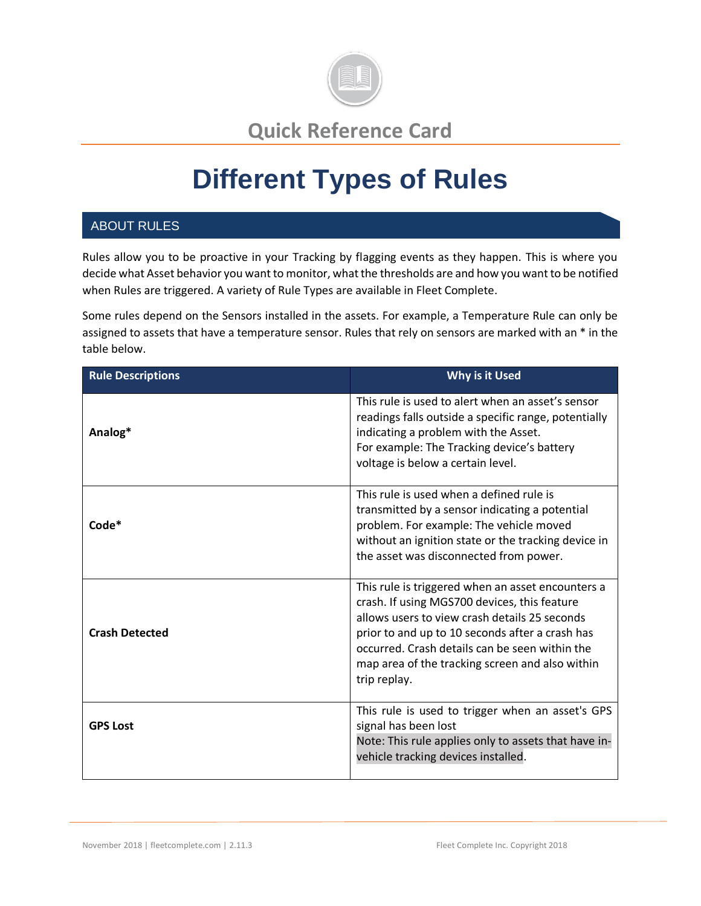

## **Different Types of Rules**

## ABOUT RULES

Rules allow you to be proactive in your Tracking by flagging events as they happen. This is where you decide what Asset behavior you want to monitor, what the thresholds are and how you want to be notified when Rules are triggered. A variety of Rule Types are available in Fleet Complete.

Some rules depend on the Sensors installed in the assets. For example, a Temperature Rule can only be assigned to assets that have a temperature sensor. Rules that rely on sensors are marked with an \* in the table below.

| <b>Rule Descriptions</b> | Why is it Used                                                                                                                                                                                                                                                                                                             |
|--------------------------|----------------------------------------------------------------------------------------------------------------------------------------------------------------------------------------------------------------------------------------------------------------------------------------------------------------------------|
| Analog*                  | This rule is used to alert when an asset's sensor<br>readings falls outside a specific range, potentially<br>indicating a problem with the Asset.<br>For example: The Tracking device's battery<br>voltage is below a certain level.                                                                                       |
| Code*                    | This rule is used when a defined rule is<br>transmitted by a sensor indicating a potential<br>problem. For example: The vehicle moved<br>without an ignition state or the tracking device in<br>the asset was disconnected from power.                                                                                     |
| <b>Crash Detected</b>    | This rule is triggered when an asset encounters a<br>crash. If using MGS700 devices, this feature<br>allows users to view crash details 25 seconds<br>prior to and up to 10 seconds after a crash has<br>occurred. Crash details can be seen within the<br>map area of the tracking screen and also within<br>trip replay. |
| <b>GPS Lost</b>          | This rule is used to trigger when an asset's GPS<br>signal has been lost<br>Note: This rule applies only to assets that have in-<br>vehicle tracking devices installed.                                                                                                                                                    |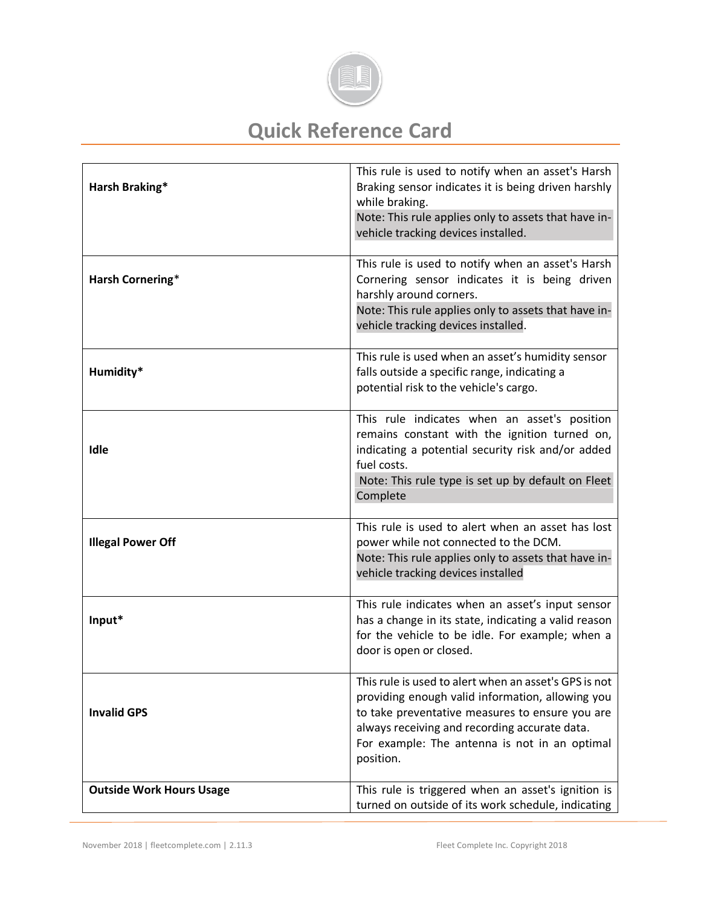

## **Quick Reference Card**

| Harsh Braking*                  | This rule is used to notify when an asset's Harsh<br>Braking sensor indicates it is being driven harshly<br>while braking.<br>Note: This rule applies only to assets that have in-<br>vehicle tracking devices installed.                                                   |
|---------------------------------|-----------------------------------------------------------------------------------------------------------------------------------------------------------------------------------------------------------------------------------------------------------------------------|
| <b>Harsh Cornering*</b>         | This rule is used to notify when an asset's Harsh<br>Cornering sensor indicates it is being driven<br>harshly around corners.<br>Note: This rule applies only to assets that have in-<br>vehicle tracking devices installed.                                                |
| Humidity*                       | This rule is used when an asset's humidity sensor<br>falls outside a specific range, indicating a<br>potential risk to the vehicle's cargo.                                                                                                                                 |
| Idle                            | This rule indicates when an asset's position<br>remains constant with the ignition turned on,<br>indicating a potential security risk and/or added<br>fuel costs.<br>Note: This rule type is set up by default on Fleet<br>Complete                                         |
| <b>Illegal Power Off</b>        | This rule is used to alert when an asset has lost<br>power while not connected to the DCM.<br>Note: This rule applies only to assets that have in-<br>vehicle tracking devices installed                                                                                    |
| Input*                          | This rule indicates when an asset's input sensor<br>has a change in its state, indicating a valid reason<br>for the vehicle to be idle. For example; when a<br>door is open or closed.                                                                                      |
| <b>Invalid GPS</b>              | This rule is used to alert when an asset's GPS is not<br>providing enough valid information, allowing you<br>to take preventative measures to ensure you are<br>always receiving and recording accurate data.<br>For example: The antenna is not in an optimal<br>position. |
| <b>Outside Work Hours Usage</b> | This rule is triggered when an asset's ignition is<br>turned on outside of its work schedule, indicating                                                                                                                                                                    |